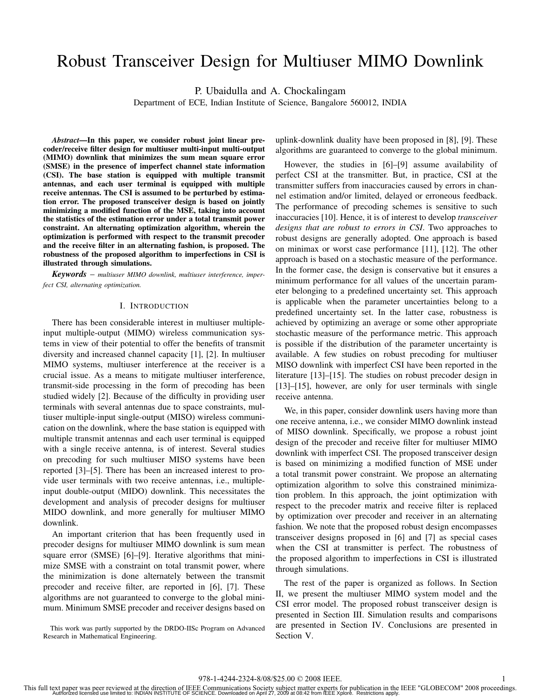# Robust Transceiver Design for Multiuser MIMO Downlink

P. Ubaidulla and A. Chockalingam

Department of ECE, Indian Institute of Science, Bangalore 560012, INDIA

*Abstract***—In this paper, we consider robust joint linear precoder/receive filter design for multiuser multi-input multi-output (MIMO) downlink that minimizes the sum mean square error (SMSE) in the presence of imperfect channel state information (CSI). The base station is equipped with multiple transmit antennas, and each user terminal is equipped with multiple receive antennas. The CSI is assumed to be perturbed by estimation error. The proposed transceiver design is based on jointly minimizing a modified function of the MSE, taking into account the statistics of the estimation error under a total transmit power constraint. An alternating optimization algorithm, wherein the optimization is performed with respect to the transmit precoder and the receive filter in an alternating fashion, is proposed. The robustness of the proposed algorithm to imperfections in CSI is illustrated through simulations.**

*Keywords* – *multiuser MIMO downlink, multiuser interference, imperfect CSI, alternating optimization.*

# I. INTRODUCTION

There has been considerable interest in multiuser multipleinput multiple-output (MIMO) wireless communication systems in view of their potential to offer the benefits of transmit diversity and increased channel capacity [1], [2]. In multiuser MIMO systems, multiuser interference at the receiver is a crucial issue. As a means to mitigate multiuser interference, transmit-side processing in the form of precoding has been studied widely [2]. Because of the difficulty in providing user terminals with several antennas due to space constraints, multiuser multiple-input single-output (MISO) wireless communication on the downlink, where the base station is equipped with multiple transmit antennas and each user terminal is equipped with a single receive antenna, is of interest. Several studies on precoding for such multiuser MISO systems have been reported [3]–[5]. There has been an increased interest to provide user terminals with two receive antennas, i.e., multipleinput double-output (MIDO) downlink. This necessitates the development and analysis of precoder designs for multiuser MIDO downlink, and more generally for multiuser MIMO downlink.

An important criterion that has been frequently used in precoder designs for multiuser MIMO downlink is sum mean square error (SMSE) [6]–[9]. Iterative algorithms that minimize SMSE with a constraint on total transmit power, where the minimization is done alternately between the transmit precoder and receive filter, are reported in [6], [7]. These algorithms are not guaranteed to converge to the global minimum. Minimum SMSE precoder and receiver designs based on

This work was partly supported by the DRDO-IISc Program on Advanced Research in Mathematical Engineering.

uplink-downlink duality have been proposed in [8], [9]. These algorithms are guaranteed to converge to the global minimum.

However, the studies in [6]–[9] assume availability of perfect CSI at the transmitter. But, in practice, CSI at the transmitter suffers from inaccuracies caused by errors in channel estimation and/or limited, delayed or erroneous feedback. The performance of precoding schemes is sensitive to such inaccuracies [10]. Hence, it is of interest to develop *transceiver designs that are robust to errors in CSI*. Two approaches to robust designs are generally adopted. One approach is based on minimax or worst case performance [11], [12]. The other approach is based on a stochastic measure of the performance. In the former case, the design is conservative but it ensures a minimum performance for all values of the uncertain parameter belonging to a predefined uncertainty set. This approach is applicable when the parameter uncertainties belong to a predefined uncertainty set. In the latter case, robustness is achieved by optimizing an average or some other appropriate stochastic measure of the performance metric. This approach is possible if the distribution of the parameter uncertainty is available. A few studies on robust precoding for multiuser MISO downlink with imperfect CSI have been reported in the literature [13]–[15]. The studies on robust precoder design in [13]–[15], however, are only for user terminals with single receive antenna.

We, in this paper, consider downlink users having more than one receive antenna, i.e., we consider MIMO downlink instead of MISO downlink. Specifically, we propose a robust joint design of the precoder and receive filter for multiuser MIMO downlink with imperfect CSI. The proposed transceiver design is based on minimizing a modified function of MSE under a total transmit power constraint. We propose an alternating optimization algorithm to solve this constrained minimization problem. In this approach, the joint optimization with respect to the precoder matrix and receive filter is replaced by optimization over precoder and receiver in an alternating fashion. We note that the proposed robust design encompasses transceiver designs proposed in [6] and [7] as special cases when the CSI at transmitter is perfect. The robustness of the proposed algorithm to imperfections in CSI is illustrated through simulations.

The rest of the paper is organized as follows. In Section II, we present the multiuser MIMO system model and the CSI error model. The proposed robust transceiver design is presented in Section III. Simulation results and comparisons are presented in Section IV. Conclusions are presented in Section V.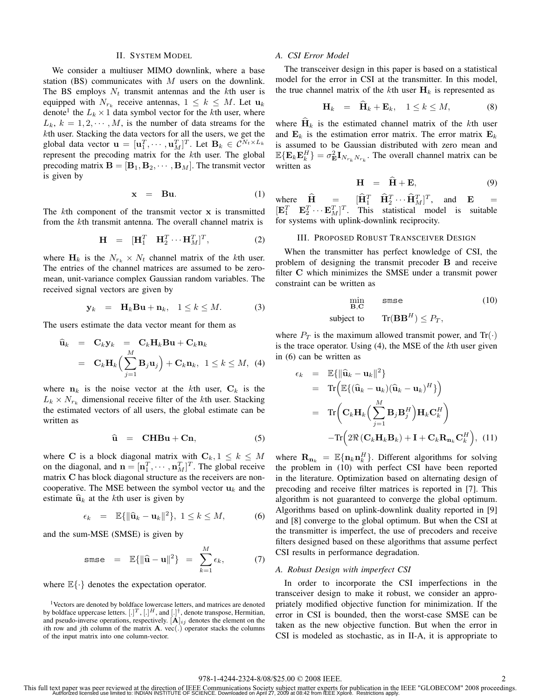### II. SYSTEM MODEL

We consider a multiuser MIMO downlink, where a base station (BS) communicates with  $M$  users on the downlink. The BS employs  $N_t$  transmit antennas and the  $k$ th user is equipped with  $N_{r_k}$  receive antennas,  $1 \leq k \leq M$ . Let  $\mathbf{u}_k$ denote<sup>1</sup> the  $L_k \times 1$  data symbol vector for the kth user, where  $L_k$ ,  $k = 1, 2, \dots, M$ , is the number of data streams for the kth user. Stacking the data vectors for all the users, we get the global data vector  $\mathbf{u} = [\mathbf{u}_1^T, \cdots, \mathbf{u}_M^T]^T$ . Let  $\mathbf{B}_k \in \mathcal{C}^{N_t \times L_k}$ <br>represent the precoding matrix for the *k*th user. The global giobal data vector  $\mathbf{u} = [\mathbf{u}_1, \dots, \mathbf{u}_M]$ . Exterministed by the kth user. The global precoding matrix  $\mathbf{B} = [\mathbf{B}_1, \mathbf{B}_2, \cdots, \mathbf{B}_M]$ . The transmit vector is given by

$$
\mathbf{x} = \mathbf{B}\mathbf{u}.\tag{1}
$$

The kth component of the transmit vector **x** is transmitted from the kth transmit antenna. The overall channel matrix is

$$
\mathbf{H} = [\mathbf{H}_1^T \quad \mathbf{H}_2^T \cdots \mathbf{H}_M^T]^T, \tag{2}
$$

where  $H_k$  is the  $N_{r_k} \times N_t$  channel matrix of the kth user. The entries of the channel matrices are assumed to be zeromean, unit-variance complex Gaussian random variables. The received signal vectors are given by

$$
\mathbf{y}_k = \mathbf{H}_k \mathbf{B} \mathbf{u} + \mathbf{n}_k, \quad 1 \le k \le M. \tag{3}
$$

The users estimate the data vector meant for them as

$$
\begin{array}{rcl}\n\widehat{\mathbf{u}}_k & = & \mathbf{C}_k \mathbf{y}_k = & \mathbf{C}_k \mathbf{H}_k \mathbf{B} \mathbf{u} + \mathbf{C}_k \mathbf{n}_k \\
& = & \mathbf{C}_k \mathbf{H}_k \Big( \sum_{j=1}^M \mathbf{B}_j \mathbf{u}_j \Big) + \mathbf{C}_k \mathbf{n}_k, \ \ 1 \leq k \leq M, \ \ (4)\n\end{array}
$$

where  $n_k$  is the noise vector at the kth user,  $C_k$  is the  $L_k \times N_{r_k}$  dimensional receive filter of the kth user. Stacking the estimated vectors of all users, the global estimate can be written as

$$
\widehat{\mathbf{u}} = \mathbf{C} \mathbf{H} \mathbf{B} \mathbf{u} + \mathbf{C} \mathbf{n}, \tag{5}
$$

where **C** is a block diagonal matrix with  $C_k$ ,  $1 \leq k \leq M$ on the diagonal, and  $\mathbf{n} = [\mathbf{n}_1^T, \cdots, \mathbf{n}_M^T]^T$ . The global receiver or poperty  $\mathbf{C}$  has block diagonal structure as the receivers are pop- $M_M$  and  $H = [\mathbf{n}_1, \dots, \mathbf{n}_M]$ . The global letter<br>matrix **C** has block diagonal structure as the receivers are noncooperative. The MSE between the symbol vector  $\mathbf{u}_k$  and the estimate  $\hat{\mathbf{u}}_k$  at the *k*th user is given by

$$
\epsilon_k = \mathbb{E}\{\|\widehat{\mathbf{u}}_k - \mathbf{u}_k\|^2\}, \ 1 \le k \le M,\tag{6}
$$

and the sum-MSE (SMSE) is given by

$$
\text{smse} = \mathbb{E}\{\|\widehat{\mathbf{u}} - \mathbf{u}\|^2\} = \sum_{k=1}^M \epsilon_k, \tag{7}
$$

where  $\mathbb{E}\{\cdot\}$  denotes the expectation operator.

## *A. CSI Error Model*

The transceiver design in this paper is based on a statistical model for the error in CSI at the transmitter. In this model, the true channel matrix of the kth user  $\mathbf{H}_k$  is represented as

$$
\mathbf{H}_k = \mathbf{H}_k + \mathbf{E}_k, \quad 1 \le k \le M,\tag{8}
$$

where  $H_k$  is the estimated channel matrix of the kth user and  $\mathbf{E}_k$  is the estimation error matrix. The error matrix  $\mathbf{E}_k$ is assumed to be Gaussian distributed with zero mean and  $\mathbb{E}\{\mathbf{E}_k\mathbf{E}_k^H\} = \sigma_{\mathbf{E}}^2\mathbf{I}_{N_{r_k}N_{r_k}}$ . The overall channel matrix can be written as written as

$$
\mathbf{H} = \hat{\mathbf{H}} + \mathbf{E}, \tag{9}
$$

where  $\hat{\mathbf{H}} = [\hat{\mathbf{H}}_1^T \quad \hat{\mathbf{H}}_2^T \cdots \hat{\mathbf{H}}_M^T]^T$ , and  $\mathbf{E} = [\mathbf{F}_1^T \quad \mathbf{F}_2^T \cdots \mathbf{F}_M^T]^T$ .  $[\mathbf{E}_1^T \quad \mathbf{E}_2^T \cdots \mathbf{E}_M^T]^T$ . This statistical model is suitable<br>for systems with unlink-downlink reciprocity for systems with uplink-downlink reciprocity.

# III. PROPOSED ROBUST TRANSCEIVER DESIGN

When the transmitter has perfect knowledge of CSI, the problem of designing the transmit precoder **B** and receive filter **C** which minimizes the SMSE under a transmit power constraint can be written as

$$
\min_{\mathbf{B},\mathbf{C}}\qquad \text{smse} \tag{10}
$$

subject to 
$$
\text{Tr}(\mathbf{B}\mathbf{B}^H) \leq P_T,
$$

where  $P_T$  is the maximum allowed transmit power, and  $Tr(\cdot)$ is the trace operator. Using  $(4)$ , the MSE of the kth user given in (6) can be written as

$$
\epsilon_k = \mathbb{E}\{\|\widehat{\mathbf{u}}_k - \mathbf{u}_k\|^2\}
$$
  
\n
$$
= \text{Tr}\Big(\mathbb{E}\{(\widehat{\mathbf{u}}_k - \mathbf{u}_k)(\widehat{\mathbf{u}}_k - \mathbf{u}_k)^H\}\Big)
$$
  
\n
$$
= \text{Tr}\Big(\mathbf{C}_k \mathbf{H}_k \Big(\sum_{j=1}^M \mathbf{B}_j \mathbf{B}_j^H\Big) \mathbf{H}_k \mathbf{C}_k^H\Big)
$$
  
\n
$$
-\text{Tr}\Big(2\Re\big(\mathbf{C}_k \mathbf{H}_k \mathbf{B}_k\big) + \mathbf{I} + \mathbf{C}_k \mathbf{R}_{\mathbf{n}_k} \mathbf{C}_k^H\Big), (11)
$$

where  $\mathbf{R}_{\mathbf{n}_k} = \mathbb{E}\{\mathbf{n}_k \mathbf{n}_k^H\}$ . Different algorithms for solving the problem in (10) with perfect CSI have been reported the problem in (10) with perfect CSI have been reported in the literature. Optimization based on alternating design of precoding and receive filter matrices is reported in [7]. This algorithm is not guaranteed to converge the global optimum. Algorithms based on uplink-downlink duality reported in [9] and [8] converge to the global optimum. But when the CSI at the transmitter is imperfect, the use of precoders and receive filters designed based on these algorithms that assume perfect CSI results in performance degradation.

#### *A. Robust Design with imperfect CSI*

In order to incorporate the CSI imperfections in the transceiver design to make it robust, we consider an appropriately modified objective function for minimization. If the error in CSI is bounded, then the worst-case SMSE can be taken as the new objective function. But when the error in CSI is modeled as stochastic, as in II-A, it is appropriate to

<sup>&</sup>lt;sup>1</sup>Vectors are denoted by boldface lowercase letters, and matrices are denoted by boldface uppercase letters.  $[.]^T, [.]^H,$  and  $[.]^{\dagger}$ , denote transpose, Hermitian, and pseudo-inverse operations, respectively.  $[\mathbf{A}]_{ij}$  denotes the element on the ith row and jth column of the matrix  $A$ . vec(.) operator stacks the columns of the input matrix into one column-vector.

This full text paper was peer reviewed at the direction of IEEE Communications Society subject matter experts for publication in the IEEE "GLOBECOM" 2008 proceedings.<br>Authorized licensed use limited to: INDIAN INSTITUTE OF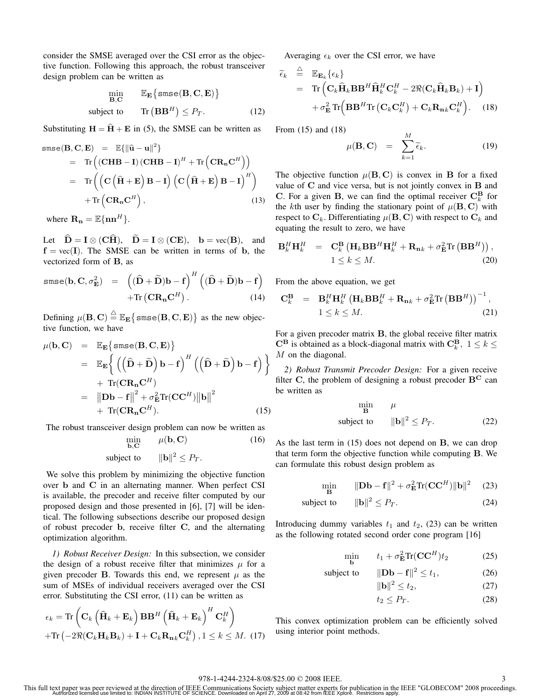consider the SMSE averaged over the CSI error as the objective function. Following this approach, the robust transceiver design problem can be written as

$$
\min_{\mathbf{B}, \mathbf{C}} \qquad \mathbb{E}_{\mathbf{E}} \{ \mathbf{smse}(\mathbf{B}, \mathbf{C}, \mathbf{E}) \}
$$
\nsubject to 
$$
\text{Tr}(\mathbf{B}\mathbf{B}^{H}) \leq P_{T}.
$$
\n(12)

Substituting  $H = \hat{H} + E$  in (5), the SMSE can be written as

$$
\begin{aligned}\n\text{smse}(\mathbf{B}, \mathbf{C}, \mathbf{E}) &= \mathbb{E}\{\|\hat{\mathbf{u}} - \mathbf{u}\|^2\} \\
&= \text{Tr}\left((\mathbf{C}\mathbf{H}\mathbf{B} - \mathbf{I})(\mathbf{C}\mathbf{H}\mathbf{B} - \mathbf{I})^H + \text{Tr}\left(\mathbf{C}\mathbf{R}_n\mathbf{C}^H\right)\right) \\
&= \text{Tr}\left(\left(\mathbf{C}\left(\hat{\mathbf{H}} + \mathbf{E}\right)\mathbf{B} - \mathbf{I}\right)\left(\mathbf{C}\left(\hat{\mathbf{H}} + \mathbf{E}\right)\mathbf{B} - \mathbf{I}\right)^H\right) \\
&\quad + \text{Tr}\left(\mathbf{C}\mathbf{R}_n\mathbf{C}^H\right),\n\end{aligned} \tag{13}
$$

where  $\mathbf{R}_{\mathbf{n}} = \mathbb{E}\{\mathbf{n}\mathbf{n}^H\}.$ 

Let  $D = I \otimes (CH)$ ,  $D = I \otimes (CE)$ ,  $b = vec(B)$ , and  $f = vec(I)$ . The SMSE can be written in terms of b the  $f = vec(I)$ . The SMSE can be written in terms of **b**, the vectorized form of **B**, as

smse(b, C, 
$$
\sigma_{\mathbf{E}}^2
$$
) =  $((\hat{\mathbf{D}} + \tilde{\mathbf{D}})\mathbf{b} - \mathbf{f})^H ((\hat{\mathbf{D}} + \tilde{\mathbf{D}})\mathbf{b} - \mathbf{f})$   
+Tr(CR<sub>n</sub>C<sup>H</sup>). (14)

Defining  $\mu(\mathbf{B}, \mathbf{C}) \stackrel{\triangle}{=} \mathbb{E}_{\mathbf{E}} \{ \text{smse}(\mathbf{B}, \mathbf{C}, \mathbf{E}) \}$  as the new objective function, we have tive function, we have

$$
\mu(\mathbf{b}, \mathbf{C}) = \mathbb{E}_{\mathbf{E}} \{ \text{smse}(\mathbf{B}, \mathbf{C}, \mathbf{E}) \}
$$
  
\n
$$
= \mathbb{E}_{\mathbf{E}} \left\{ \left( \left( \hat{\mathbf{D}} + \tilde{\mathbf{D}} \right) \mathbf{b} - \mathbf{f} \right)^H \left( \left( \hat{\mathbf{D}} + \tilde{\mathbf{D}} \right) \mathbf{b} - \mathbf{f} \right) \right\}
$$
  
\n
$$
+ \text{Tr}(\mathbf{C} \mathbf{R}_{\mathbf{n}} \mathbf{C}^H)
$$
  
\n
$$
= ||\mathbf{D}\mathbf{b} - \mathbf{f}||^2 + \sigma_{\mathbf{E}}^2 \text{Tr}(\mathbf{C} \mathbf{C}^H) ||\mathbf{b}||^2
$$
  
\n
$$
+ \text{Tr}(\mathbf{C} \mathbf{R}_{\mathbf{n}} \mathbf{C}^H).
$$
 (15)

The robust transceiver design problem can now be written as

$$
\min_{\mathbf{b}, \mathbf{C}} \qquad \mu(\mathbf{b}, \mathbf{C}) \tag{16}
$$

subject to 
$$
\|\mathbf{b}\|^2 \leq P_T.
$$

We solve this problem by minimizing the objective function over **b** and **C** in an alternating manner. When perfect CSI is available, the precoder and receive filter computed by our proposed design and those presented in [6], [7] will be identical. The following subsections describe our proposed design of robust precoder **b**, receive filter **C**, and the alternating optimization algorithm.

*1) Robust Receiver Design:* In this subsection, we consider the design of a robust receive filter that minimizes  $\mu$  for a given precoder **B**. Towards this end, we represent  $\mu$  as the sum of MSEs of individual receivers averaged over the CSI error. Substituting the CSI error, (11) can be written as

$$
\epsilon_{k} = \text{Tr}\left(\mathbf{C}_{k}\left(\widehat{\mathbf{H}}_{k} + \mathbf{E}_{k}\right)\mathbf{B}\mathbf{B}^{H}\left(\widehat{\mathbf{H}}_{k} + \mathbf{E}_{k}\right)^{H}\mathbf{C}_{k}^{H}\right) + \text{Tr}\left(-2\Re(\mathbf{C}_{k}\mathbf{H}_{k}\mathbf{B}_{k}) + \mathbf{I} + \mathbf{C}_{k}\mathbf{R}_{\mathbf{n}_{k}}\mathbf{C}_{k}^{H}\right), 1 \leq k \leq M. (17)
$$

Averaging  $\epsilon_k$  over the CSI error, we have

$$
\widetilde{\epsilon}_{k} \stackrel{\triangle}{=} \mathbb{E}_{\mathbf{E}_{k}} \{\epsilon_{k}\}\n= \text{Tr} \left( \mathbf{C}_{k} \widehat{\mathbf{H}}_{k} \mathbf{B} \mathbf{B}^{H} \widehat{\mathbf{H}}_{k}^{H} \mathbf{C}_{k}^{H} - 2 \Re(\mathbf{C}_{k} \widehat{\mathbf{H}}_{k} \mathbf{B}_{k}) + \mathbf{I} \right)\n+ \sigma_{\mathbf{E}}^{2} \text{Tr} \left( \mathbf{B} \mathbf{B}^{H} \text{Tr} \left( \mathbf{C}_{k} \mathbf{C}_{k}^{H} \right) + \mathbf{C}_{k} \mathbf{R}_{\mathbf{n}k} \mathbf{C}_{k}^{H} \right). \quad (18)
$$

From (15) and (18)

$$
\mu(\mathbf{B}, \mathbf{C}) = \sum_{k=1}^{M} \widetilde{\epsilon}_{k}.
$$
 (19)

The objective function  $\mu(\mathbf{B}, \mathbf{C})$  is convex in **B** for a fixed value of **C** and vice versa, but is not jointly convex in **B** and **C**. For a given **B**, we can find the optimal receiver  $\mathbf{C}_k^{\mathbf{B}}$  for the kth user by finding the stationary point of  $\mu(\mathbf{B}, \mathbf{C})$  with respect to  $\mathbf{C}_k$ . Differentiating  $\mu(\mathbf{B}, \mathbf{C})$  with respect to  $\mathbf{C}_k$  and equating the result to zero, we have

$$
\mathbf{B}_{k}^{H}\mathbf{H}_{k}^{H} = \mathbf{C}_{k}^{\mathbf{B}} \left( \mathbf{H}_{k} \mathbf{B} \mathbf{B}^{H} \mathbf{H}_{k}^{H} + \mathbf{R}_{n k} + \sigma_{\mathbf{E}}^{2} \text{Tr} \left( \mathbf{B} \mathbf{B}^{H} \right) \right),
$$
  
1 \le k \le M. (20)

From the above equation, we get

$$
\mathbf{C}_{k}^{\mathbf{B}} = \mathbf{B}_{k}^{H} \mathbf{H}_{k}^{H} \left( \mathbf{H}_{k} \mathbf{B} \mathbf{B}_{k}^{H} + \mathbf{R}_{n k} + \sigma_{\mathbf{E}}^{2} \text{Tr} \left( \mathbf{B} \mathbf{B}^{H} \right) \right)^{-1},
$$
  
1 \le k \le M. (21)

For a given precoder matrix **B**, the global receive filter matrix  $\mathbf{C}^{\mathbf{B}}$  is obtained as a block-diagonal matrix with  $\mathbf{C}_k^{\mathbf{B}}$ ,  $1 \leq k \leq M$  on the diagonal  $M$  on the diagonal.

*2) Robust Transmit Precoder Design:* For a given receive filter **C**, the problem of designing a robust precoder  $B^C$  can be written as

$$
\begin{array}{ccc}\n\min & \mu\\
\text{subject to} & \|\mathbf{b}\|^2 \le P_T.\n\end{array} \tag{22}
$$

As the last term in (15) does not depend on **B**, we can drop that term form the objective function while computing **B**. We can formulate this robust design problem as

$$
\min_{\mathbf{B}} \qquad \|\mathbf{D}\mathbf{b} - \mathbf{f}\|^2 + \sigma_{\mathbf{E}}^2 \text{Tr}(\mathbf{C}\mathbf{C}^H) \|\mathbf{b}\|^2 \tag{23}
$$

subject to 
$$
\|\mathbf{b}\|^2 \leq P_T. \tag{24}
$$

Introducing dummy variables  $t_1$  and  $t_2$ , (23) can be written as the following rotated second order cone program [16]

$$
\min_{\mathbf{b}} \qquad t_1 + \sigma_{\mathbf{E}}^2 \text{Tr}(\mathbf{C}\mathbf{C}^H) t_2 \tag{25}
$$

subject to 
$$
\|\mathbf{D}\mathbf{b} - \mathbf{f}\|^2 \le t_1,
$$
 (26)

- $\|\mathbf{b}\|^2 \le t_2,$  (27)
- $t_2 \leq P_T$ . (28)

This convex optimization problem can be efficiently solved using interior point methods.

This full text paper was peer reviewed at the direction of IEEE Communications Society subject matter experts for publication in the IEEE "GLOBECOM" 2008 proceedings.<br>Authorized licensed use limited to: INDIAN INSTITUTE OF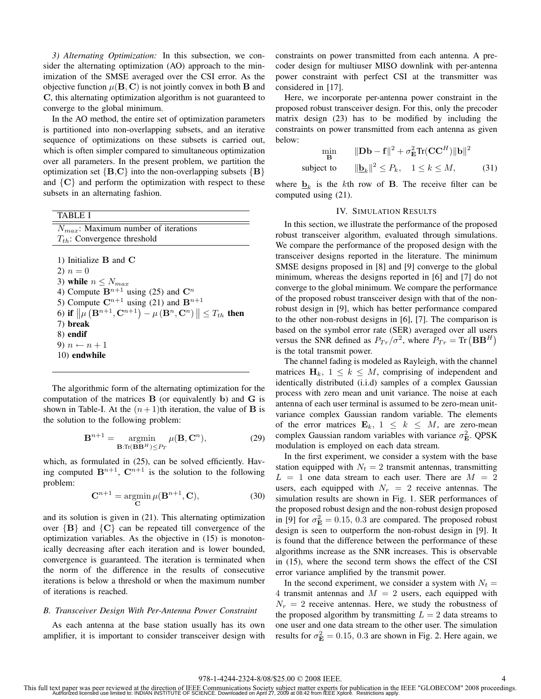*3) Alternating Optimization:* In this subsection, we consider the alternating optimization (AO) approach to the minimization of the SMSE averaged over the CSI error. As the objective function  $\mu(\mathbf{B}, \mathbf{C})$  is not jointly convex in both **B** and **C**, this alternating optimization algorithm is not guaranteed to converge to the global minimum.

In the AO method, the entire set of optimization parameters is partitioned into non-overlapping subsets, and an iterative sequence of optimizations on these subsets is carried out, which is often simpler compared to simultaneous optimization over all parameters. In the present problem, we partition the optimization set  ${B, C}$  into the non-overlapping subsets  ${B}$ and  $\{C\}$  and perform the optimization with respect to these subsets in an alternating fashion.

TABLE I

| $N_{max}$ : Maximum number of iterations                                                              |
|-------------------------------------------------------------------------------------------------------|
| $T_{th}$ : Convergence threshold                                                                      |
|                                                                                                       |
| 1) Initialize $B$ and $C$                                                                             |
| 2) $n = 0$                                                                                            |
| 3) while $n \leq N_{max}$                                                                             |
| 4) Compute $\mathbf{B}^{n+1}$ using (25) and $\mathbf{C}^n$                                           |
| 5) Compute $\mathbb{C}^{n+1}$ using (21) and $\mathbb{B}^{n+1}$                                       |
| 6) if $\ \mu(\mathbf{B}^{n+1}, \mathbf{C}^{n+1}) - \mu(\mathbf{B}^n, \mathbf{C}^n)\  \le T_{th}$ then |
| 7) break                                                                                              |
| 8) endif                                                                                              |
| 9) $n \leftarrow n+1$                                                                                 |
| 10) endwhile                                                                                          |

The algorithmic form of the alternating optimization for the computation of the matrices **B** (or equivalently **b**) and **G** is shown in Table-I. At the  $(n+1)$ th iteration, the value of **B** is the solution to the following problem:

$$
\mathbf{B}^{n+1} = \operatorname*{argmin}_{\mathbf{B}: \text{Tr}(\mathbf{B}\mathbf{B}^H) \le P_T} \mu(\mathbf{B}, \mathbf{C}^n),\tag{29}
$$

which, as formulated in  $(25)$ , can be solved efficiently. Having computed  $\mathbf{B}^{n+1}$ ,  $\mathbf{C}^{n+1}$  is the solution to the following problem:

$$
\mathbf{C}^{n+1} = \underset{\mathbf{C}}{\operatorname{argmin}} \,\mu(\mathbf{B}^{n+1}, \mathbf{C}),\tag{30}
$$

and its solution is given in (21). This alternating optimization over  ${B}$  and  ${C}$  can be repeated till convergence of the optimization variables. As the objective in (15) is monotonically decreasing after each iteration and is lower bounded, convergence is guaranteed. The iteration is terminated when the norm of the difference in the results of consecutive iterations is below a threshold or when the maximum number of iterations is reached.

# *B. Transceiver Design With Per-Antenna Power Constraint*

As each antenna at the base station usually has its own amplifier, it is important to consider transceiver design with

constraints on power transmitted from each antenna. A precoder design for multiuser MISO downlink with per-antenna power constraint with perfect CSI at the transmitter was considered in [17].

Here, we incorporate per-antenna power constraint in the proposed robust transceiver design. For this, only the precoder matrix design (23) has to be modified by including the constraints on power transmitted from each antenna as given below:

$$
\min_{\mathbf{B}} \quad \|\mathbf{D}\mathbf{b} - \mathbf{f}\|^2 + \sigma_{\mathbf{E}}^2 \text{Tr}(\mathbf{C}\mathbf{C}^H) \|\mathbf{b}\|^2
$$
\nsubject to 
$$
\|\mathbf{b}_k\|^2 \le P_k, \quad 1 \le k \le M,
$$
\n(31)

where  $\underline{\mathbf{b}}_k$  is the kth row of **B**. The receive filter can be computed using (21).

#### IV. SIMULATION RESULTS

In this section, we illustrate the performance of the proposed robust transceiver algorithm, evaluated through simulations. We compare the performance of the proposed design with the transceiver designs reported in the literature. The minimum SMSE designs proposed in [8] and [9] converge to the global minimum, whereas the designs reported in [6] and [7] do not converge to the global minimum. We compare the performance of the proposed robust transceiver design with that of the nonrobust design in [9], which has better performance compared to the other non-robust designs in [6], [7]. The comparison is based on the symbol error rate (SER) averaged over all users versus the SNR defined as  $P_{Tr}/\sigma^2$ , where  $P_{Tr} = \text{Tr}(\mathbf{B}\mathbf{B}^H)$ <br>is the total transmit power is the total transmit power.

The channel fading is modeled as Rayleigh, with the channel matrices  $H_k$ ,  $1 \leq k \leq M$ , comprising of independent and identically distributed (i.i.d) samples of a complex Gaussian process with zero mean and unit variance. The noise at each antenna of each user terminal is assumed to be zero-mean unitvariance complex Gaussian random variable. The elements of the error matrices  $\mathbf{E}_k$ ,  $1 \leq k \leq M$ , are zero-mean complex Gaussian random variables with variance  $\sigma_{\mathbf{E}}^2$ . QPSK modulation is employed on each data stream.

In the first experiment, we consider a system with the base station equipped with  $N_t = 2$  transmit antennas, transmitting  $L = 1$  one data stream to each user. There are  $M = 2$ users, each equipped with  $N_r = 2$  receive antennas. The simulation results are shown in Fig. 1. SER performances of the proposed robust design and the non-robust design proposed in [9] for  $\sigma_{\mathbf{E}}^2 = 0.15, 0.3$  are compared. The proposed robust<br>design is seen to outperform the pop-robust design in [9] It design is seen to outperform the non-robust design in [9]. It is found that the difference between the performance of these algorithms increase as the SNR increases. This is observable in (15), where the second term shows the effect of the CSI error variance amplified by the transmit power.

In the second experiment, we consider a system with  $N_t =$ 4 transmit antennas and  $M = 2$  users, each equipped with  $N_r = 2$  receive antennas. Here, we study the robustness of the proposed algorithm by transmitting  $L = 2$  data streams to one user and one data stream to the other user. The simulation results for  $\sigma_{\mathbf{E}}^2 = 0.15, 0.3$  are shown in Fig. 2. Here again, we

This full text paper was peer reviewed at the direction of IEEE Communications Society subject matter experts for publication in the IEEE "GLOBECOM" 2008 proceedings.<br>Authorized licensed use limited to: INDIAN INSTITUTE OF